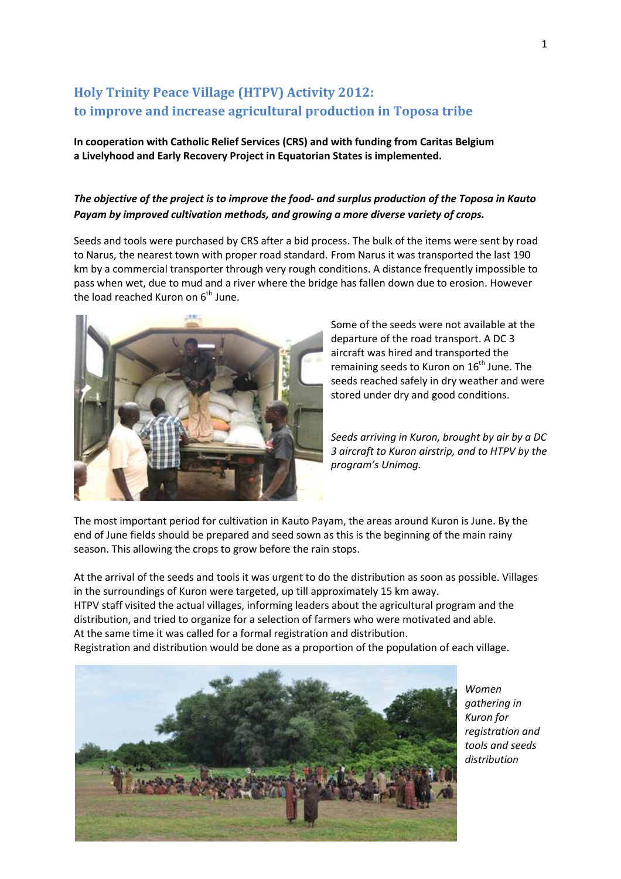## **Holy Trinity Peace Village (HTPV) Activity 2012: to improve and increase agricultural production in Toposa tribe**

**In cooperation with Catholic Relief Services (CRS) and with funding from Caritas Belgium a Livelyhood and Early Recovery Project in Equatorian States is implemented.**

## *The objective of the project is to improve the food- and surplus production of the Toposa in Kauto Payam by improved cultivation methods, and growing a more diverse variety of crops.*

Seeds and tools were purchased by CRS after a bid process. The bulk of the items were sent by road to Narus, the nearest town with proper road standard. From Narus it was transported the last 190 km by a commercial transporter through very rough conditions. A distance frequently impossible to pass when wet, due to mud and a river where the bridge has fallen down due to erosion. However the load reached Kuron on 6<sup>th</sup> June.



Some of the seeds were not available at the departure of the road transport. A DC 3 aircraft was hired and transported the remaining seeds to Kuron on  $16<sup>th</sup>$  June. The seeds reached safely in dry weather and were stored under dry and good conditions.

*Seeds arriving in Kuron, brought by air by a DC 3 aircraft to Kuron airstrip, and to HTPV by the program's Unimog.*

The most important period for cultivation in Kauto Payam, the areas around Kuron is June. By the end of June fields should be prepared and seed sown as this is the beginning of the main rainy season. This allowing the crops to grow before the rain stops.

At the arrival of the seeds and tools it was urgent to do the distribution as soon as possible. Villages in the surroundings of Kuron were targeted, up till approximately 15 km away. HTPV staff visited the actual villages, informing leaders about the agricultural program and the distribution, and tried to organize for a selection of farmers who were motivated and able. At the same time it was called for a formal registration and distribution.

Registration and distribution would be done as a proportion of the population of each village.



*Women gathering in Kuron for registration and tools and seeds distribution*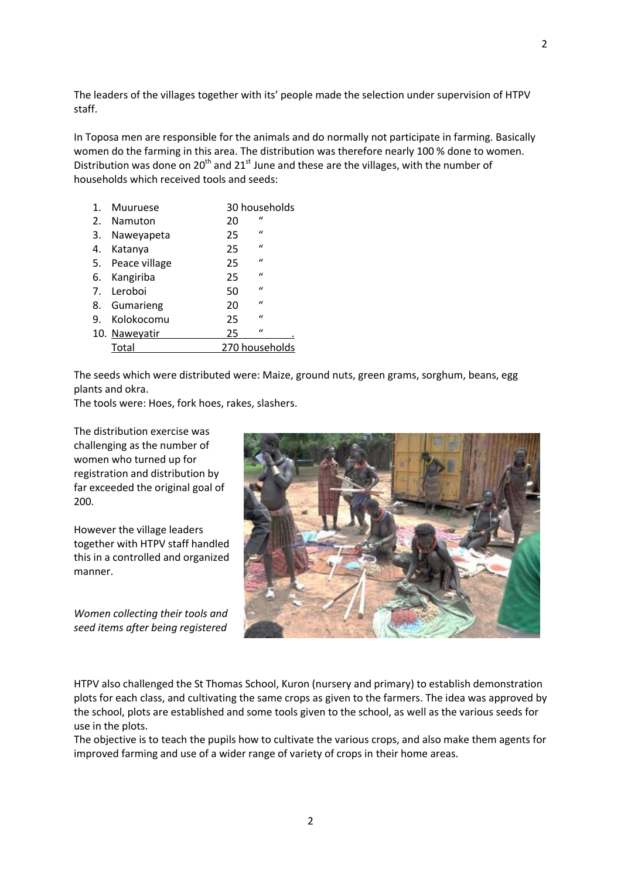The leaders of the villages together with its' people made the selection under supervision of HTPV staff.

In Toposa men are responsible for the animals and do normally not participate in farming. Basically women do the farming in this area. The distribution was therefore nearly 100 % done to women. Distribution was done on  $20<sup>th</sup>$  and  $21<sup>st</sup>$  June and these are the villages, with the number of households which received tools and seeds:

| 1. | <b>Muuruese</b>  |    | 30 households  |  |
|----|------------------|----|----------------|--|
|    | 2. Namuton       | 20 | $\mathbf{u}$   |  |
| 3. | Naweyapeta       | 25 | $\mathbf{u}$   |  |
| 4. | Katanya          | 25 | $\mathbf{u}$   |  |
|    | 5. Peace village | 25 | $\mathbf{u}$   |  |
|    | 6. Kangiriba     | 25 | $\mathbf{u}$   |  |
|    | 7. Leroboi       | 50 | $\mathbf{u}$   |  |
|    | 8. Gumarieng     | 20 | $\mathbf{u}$   |  |
|    | 9. Kolokocomu    | 25 | $\mathbf{u}$   |  |
|    | 10. Naweyatir    | 25 | $\mathbf{u}$   |  |
|    | Total            |    | 270 households |  |
|    |                  |    |                |  |

The seeds which were distributed were: Maize, ground nuts, green grams, sorghum, beans, egg plants and okra.

The tools were: Hoes, fork hoes, rakes, slashers.

The distribution exercise was challenging as the number of women who turned up for registration and distribution by far exceeded the original goal of 200.

However the village leaders together with HTPV staff handled this in a controlled and organized manner.

*Women collecting their tools and seed items after being registered*



HTPV also challenged the St Thomas School, Kuron (nursery and primary) to establish demonstration plots for each class, and cultivating the same crops as given to the farmers. The idea was approved by the school, plots are established and some tools given to the school, as well as the various seeds for use in the plots.

The objective is to teach the pupils how to cultivate the various crops, and also make them agents for improved farming and use of a wider range of variety of crops in their home areas.